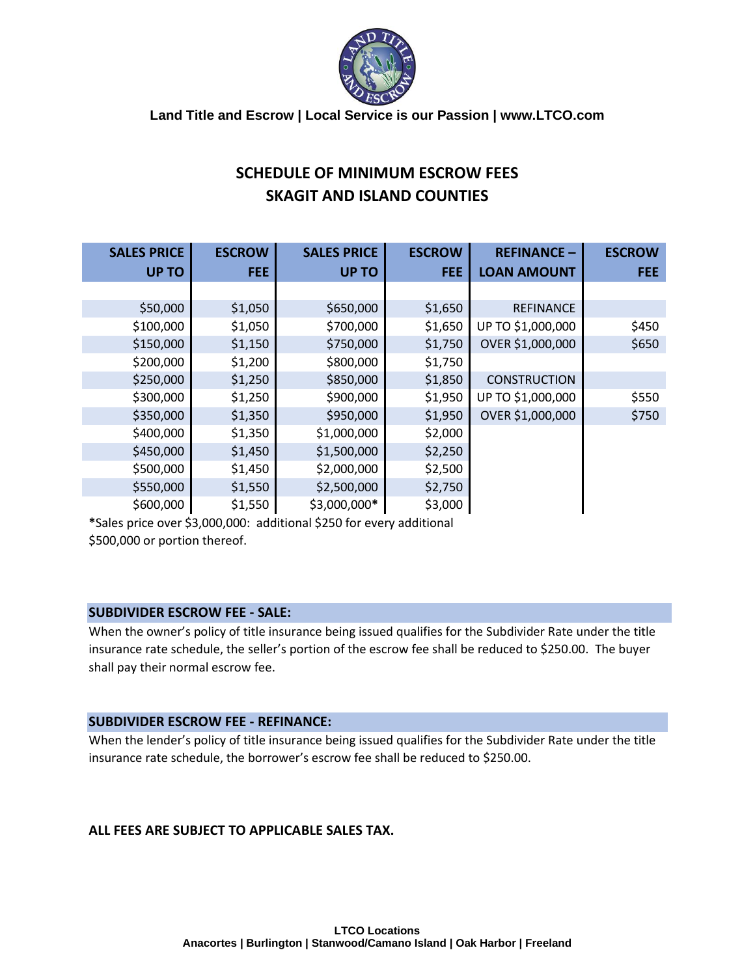

**Land Title and Escrow | Local Service is our Passion | www.LTCO.com**

# **SCHEDULE OF MINIMUM ESCROW FEES SKAGIT AND ISLAND COUNTIES**

| <b>SALES PRICE</b> | <b>ESCROW</b> | <b>SALES PRICE</b> | <b>ESCROW</b> | <b>REFINANCE -</b>  | <b>ESCROW</b> |
|--------------------|---------------|--------------------|---------------|---------------------|---------------|
| <b>UP TO</b>       | <b>FEE</b>    | <b>UP TO</b>       | <b>FEE</b>    | <b>LOAN AMOUNT</b>  | FEE:          |
|                    |               |                    |               |                     |               |
| \$50,000           | \$1,050       | \$650,000          | \$1,650       | <b>REFINANCE</b>    |               |
| \$100,000          | \$1,050       | \$700,000          | \$1,650       | UP TO \$1,000,000   | \$450         |
| \$150,000          | \$1,150       | \$750,000          | \$1,750       | OVER \$1,000,000    | \$650         |
| \$200,000          | \$1,200       | \$800,000          | \$1,750       |                     |               |
| \$250,000          | \$1,250       | \$850,000          | \$1,850       | <b>CONSTRUCTION</b> |               |
| \$300,000          | \$1,250       | \$900,000          | \$1,950       | UP TO \$1,000,000   | \$550         |
| \$350,000          | \$1,350       | \$950,000          | \$1,950       | OVER \$1,000,000    | \$750         |
| \$400,000          | \$1,350       | \$1,000,000        | \$2,000       |                     |               |
| \$450,000          | \$1,450       | \$1,500,000        | \$2,250       |                     |               |
| \$500,000          | \$1,450       | \$2,000,000        | \$2,500       |                     |               |
| \$550,000          | \$1,550       | \$2,500,000        | \$2,750       |                     |               |
| \$600,000          | \$1,550       | \$3,000,000*       | \$3,000       |                     |               |

**\***Sales price over \$3,000,000: additional \$250 for every additional \$500,000 or portion thereof.

#### **SUBDIVIDER ESCROW FEE - SALE:**

When the owner's policy of title insurance being issued qualifies for the Subdivider Rate under the title insurance rate schedule, the seller's portion of the escrow fee shall be reduced to \$250.00. The buyer shall pay their normal escrow fee.

#### **SUBDIVIDER ESCROW FEE - REFINANCE:**

When the lender's policy of title insurance being issued qualifies for the Subdivider Rate under the title insurance rate schedule, the borrower's escrow fee shall be reduced to \$250.00.

### **ALL FEES ARE SUBJECT TO APPLICABLE SALES TAX.**